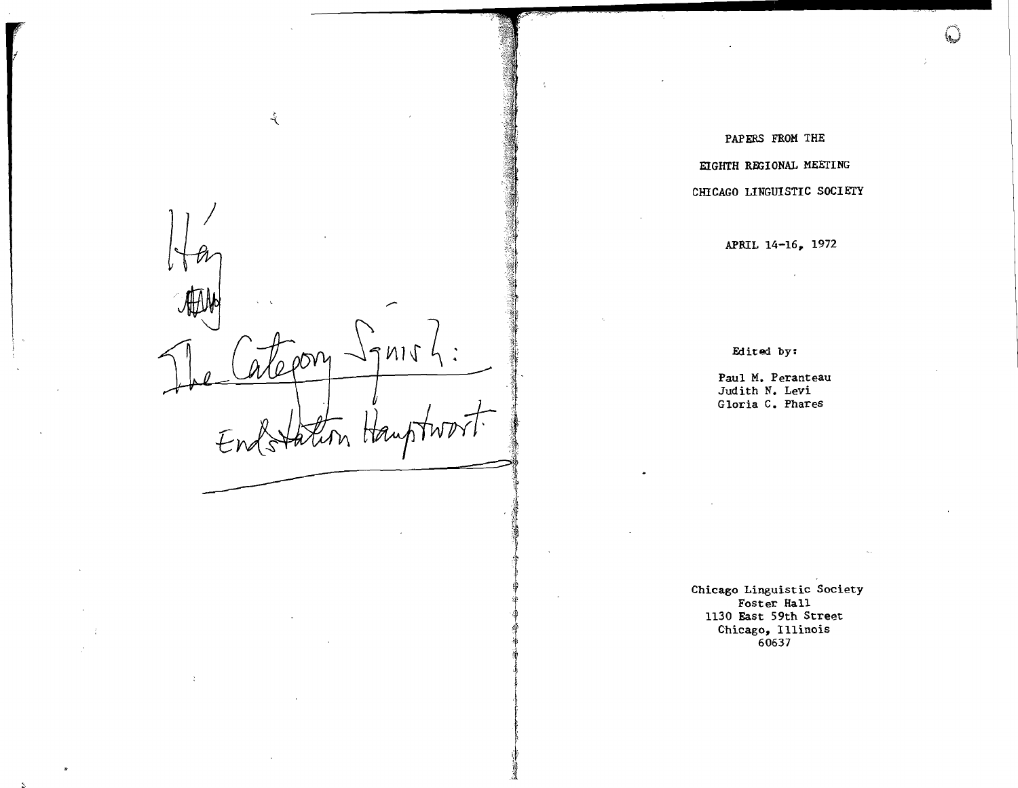-ই - atepory  $\cdot$  .  $N11$ re de la provincia de la provincia de la provincia de la provincia de la provincia de la provincia de la provincia de la provincia de la provincia de la provincia de la provincia de la provincia de la provincia de la provi '~.' t'  $W^{2}$ .1 -----------=~;~ ~t,... J ~~

-,,~

r-r ,i!

'\*;,( !f'  $\ast$ 

'1I

je poznateljena protektoričara († 1872)<br>18. listopadu – January Barnett, politik američki politik († 1872)<br>18. listopadu – January Barnett, politik američki politik († 18. listopadu – 18. listopadu – 18. listopadu (†

 $\frac{3}{4}$  :

I

# PAPERS FROM THE EIGHTH REGIONAL MEETING

*r:,*  iV

# CHICAGO LINGUISTIC SOCIETY

# APRIL 14-16, 1972

Edited by:

Paul M. Peranteau Judith N. Levi Gloria C. Phares

Chicago Linguistic Society Foster Hall 1130 East 59th Street Chicago, Illinois 60637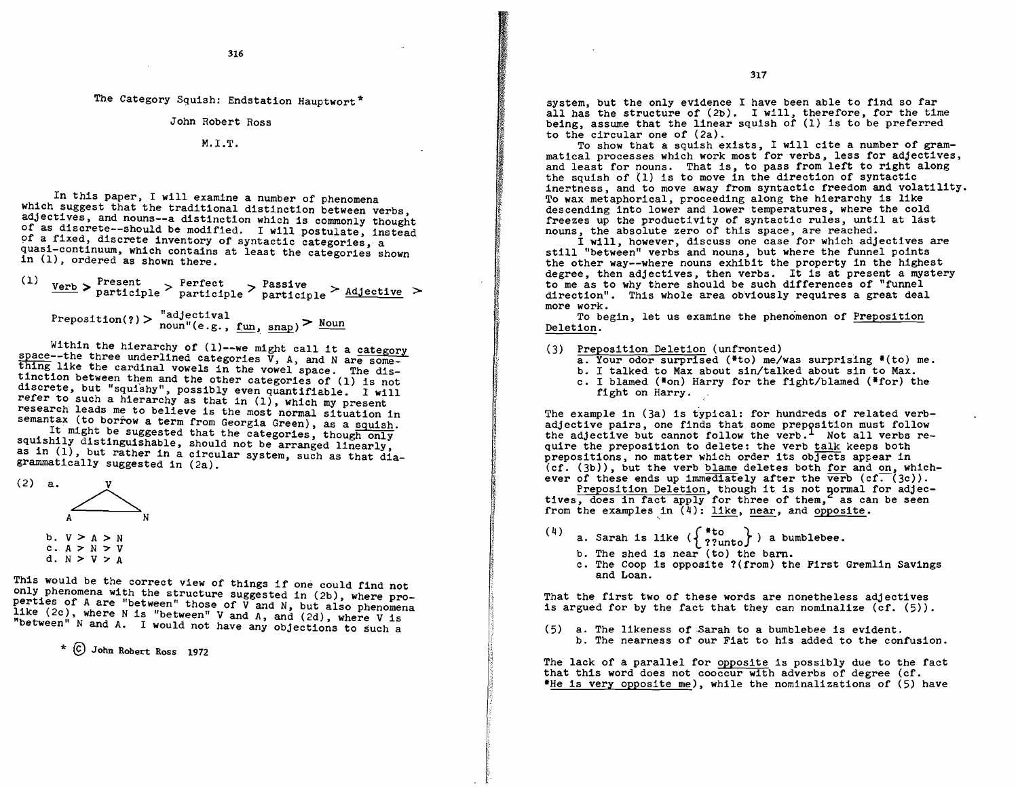The Category Squish: Endstation Hauptwort\*

John Robert Ross

M.LT.

In this paper, I will examine a number of phenomena which suggest that the traditional distinction between verbs, adjectives, and nouns--a distinction which is commonly thought of as discrete--should be modified. I will postulate, instead<br>of a fixed, discrete inventory of syntactic categories, a quasi-continuum, which contains at least the categories shown in (1), ordered as shown there.

(1)  $\frac{Verb}{Verb}$  >  $\frac{Present}{particle}$  >  $\frac{Perfect}{particle}$  >  $\frac{Basictime}{active}$  >  $\texttt{Preposition(?)} > \text{ "adjectival} \text{ noun} \text{''(e.g., } \underline{\text{run}}, \underline{\text{snap}}) > \text{Noun}$ 

Within the hierarchy of (1)--we might call it a category space--the three underlined categories V, A, and N are some-<br>thing like the cardinal vowels in the vowel space. The distinction between them and the other categories of (1) is not discrete, but "squishy", possibly even quantifiable. I will refer to such a hierarchy as that in (I), which my present research leads me to believe is the most normal situation in

semantax (to borrow a term from Georgia Green), as a squish.<br>It might be suggested that the categories, though only squishily distinguishable, should not be arranged linearly, as in (1), but rather in a circular system, such as that diagrammatically suggested in (2a).



This would be the correct view of things if one could find not only phenomena with the structure suggested in (2b), where properties of A are "between" those of  $\breve{V}$  and N, but also phenomena like (2c), where N is "between" V and A, and (2d), where V is "between" Nand A. I would not have any objections to Such a

(C) John Robert Ross 1972

system, but the only evidence I have been able to find so far all has the structure of (2b). I will, therefore, for the time being, assume that the linear squish of (1) is to be preferred to the circular one of (2a).<br>To show that a squish exists, I will cite a number of gram-

matical processes which work most for verbs, less for adjectives, and least for nouns. That is, to pass from left to right along the squish of (1) is to move in the direction of syntactic inertness, and to move away from syntactic freedom and volatility. To wax metaphorical, proceeding along the hierarchy is like descending into lower and lower temperatures, where the cold freezes up the productivity of syntactic rules, until at last nouns, the absolute zero of this space, are reached.<br>I will, however, discuss one case for which adjectives are

still "between" verbs and nouns, but where the funnel points<br>the other way--where nouns exhibit the property in the highest degree, then adjectives, then verbs. It is at present a mystery to me as to Why there should be such differences of "funnel direction". This whole area obviously requires a great deal more work.

To begin, let us examine the phenomenon of Preposition Deletion.

- (3) Preposition Deletion (unfronted)<br>
a. Your odor surprised (\*to) me/was surprising \*(to) me.<br>
b. I talked to Max about sin/talked about sin to Max.<br>
c. I blamed (\*on) Harry for the fight/blamed (\*for) the
	-
	- fight on Harry.

The example in (3a) is typical: for hundreds of related verbadjective pairs, one finds that some prepysition must follow the adjective but cannot follow the verb.<sup>1</sup> Not all verbs re-<br>quire the preposition to delete: the verb talk keeps both prepositions, no matter which order its objects appear in (cf. (3b)), but the verb blame deletes both for and on, which-ever of these ends up immediately after the verb (cf. (3c)).

Preposition Deletion, though it is not pormal for adjectives, does in fact apply for three of them, as can be seen from the examples in  $(4)$ : like, near, and opposite.

- a. Sarah is like  $(\begin{array}{c} * \text{to} \\ 2 \text{?unto} \end{array})$  a bumblebee.
	-
	- b. The shed is near (to) the barn.<br>c. The Coop is opposite ?(from) the First Gremlin Savings and Loan.

That the first two of these words are nonetheless adjectives is argued for by the fact that they can nominalize  $(cf. (5))$ .

 $(5)$  a. The likeness of Sarah to a bumblebee is evident. b. The nearness of our Fiat to his added to the confusion.

The lack of a parallel for opposite is possibly due to the fact that this word does not cooccur with adverbs of degree (cf. \*He is very opposite me), while the nominalizations of (5) have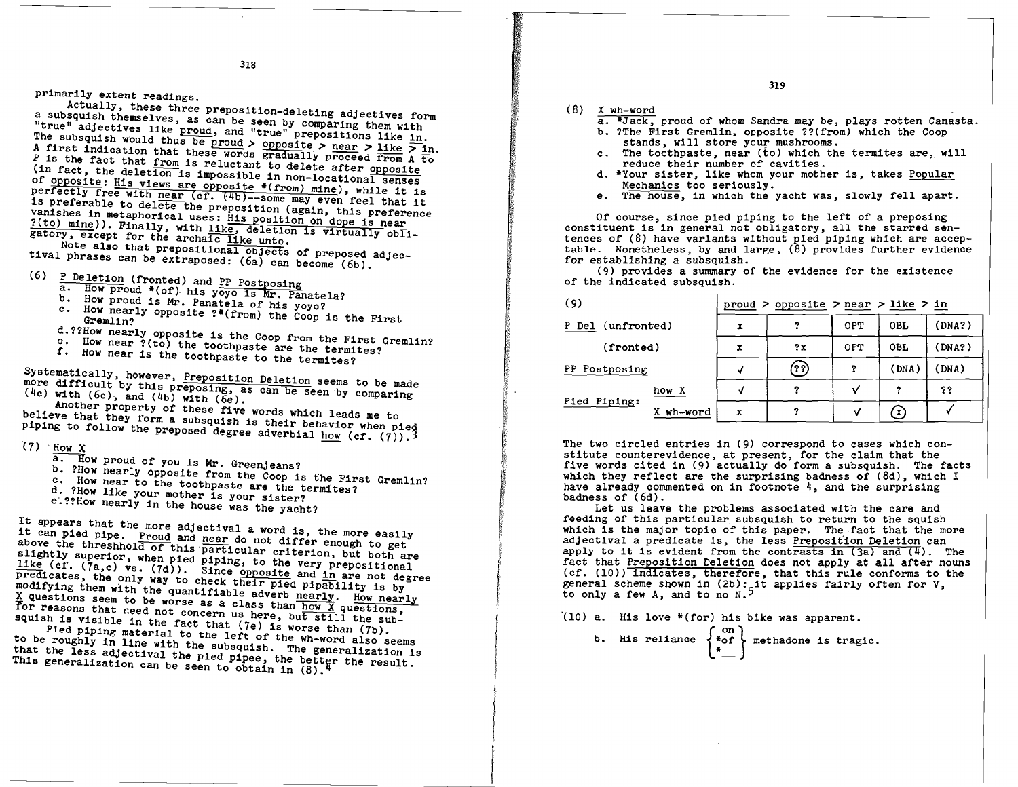primarily extent readings.<br>Actually, these three preposition-deleting adjectives form a subsquish themselves, as can be seen by comparing them with "true" adjectives like proud, and "true" prepositions like in. The subsquish would thus be proud > opposite > near > like  $>$  in. A first indication that these words gradually proceed from A to P is the fact that from is reluctant to delete after opposite (in fact, the deletion is impossible in non-locational senses<br>of <u>opposite</u>: His views are opposite  $((from)$  mine), while it is perfectly free with near (cf. (4b)--some may even feel that it<br>is preferable to delete the preposition (again, this preference vanishes in metaphorical uses: His position on dope is near ?(to) mine)). Finally, with like, deletion is virtually obli-

gatory, except for the archaic like unto.<br>Note also that prepositional objects of preposed adjectival phrases can be extraposed: (6a) can become (6b).

- (6) P Deletion (fronted) and PP Postposing
	- a. How proud  $*(of)$  his yoyo is Mr. Panatela?<br>b. How proud is Mr. Panatela of his yoyo?
	-
	-
	- c. How nearly opposite  $?*(from)$  the Coop is the First Gremlin? d.??How nearly opposite is the Coop from the First Gremlin?<br>e. How near ?(to) the toothpaste are the termites?
	-
	-
	-

f. How near is the toothpaste to the termites?<br>Systematically, however, Preposition Deletion seems to be made Systematically, however, <u>Preposition Deletion</u> seems to be made<br>more difficult by this preposing, as can be seen by comparing (4c) with (6c), and (4b) with (6e).

(4c) with  $(6c)$ , and  $(4b)$  with  $(6e)$ .<br>Another property of these five words which leads me to Another property of these five words which leads me to<br>believe that they form a subsquish is their behavior when pied<br>piping to follow it piping to follow the preposed degree adverbial how (cf.  $(7)$ ).<sup>3</sup>

- $(7)$  How X
	- How X<br>a. How proud of you is Mr. Greenjeans?<br>b. <sup>2How</sup> Peerl
	-
	- a. How proud of you is Mr. Greenjeans?<br>b. ?How nearly opposite from the Coop is the First Gremlin?<br>c. How near to the toothpaste are the termites? c. How near to the toothpaste are the termites?
	- d. ?How like your mother is your sister?
	- e.??How nearly in the house was the yacht?
	-

It appears that the more adjectival a word is, the more easily it can pied pipe. Proud and near do not differ enough to get above the threshhold of this particular criterion, but both are slightly superior, when pied piping, to the very prepositional slightly superior, when pied piping, to the very prepositional<br>like (cf. (7a,c) vs. (7d)). Since opposite and in are not degree<br>predicates, the only way to check their pied pipelility is the predicates, the only way to check their pied pipability is by modifying them with the quantifiable adverb nearly. How nearly  $X$  questions seem to be worse as a class than how  $\overline{X}$  questions, for reasons that need not concern us here, but still the sub-

squish is visible in the fact that (7e) is worse than (7b).<br>Pied piping material to the left of the wh-word also seems to be roughly in line with the subsquish. The generalization is that the less adjectival the pied pipee, the better the result. This generalization can be seen to obtain in (8).

- 
- (8)  $\frac{X \text{ wh}-\text{word}}{a.\ \#Jack,}$  proud of whom Sandra may be, plays rotten Canasta.<br>b. ?The First Gremlin, opposite ??(from) which the Coop
	-
	- stands, will store your mushrooms.<br>c. The toothpaste, near ( $\acute{t}$ o) which the termites are, will reduce their number of cavities.
	- d. \*Your sister, like whom your mother is, takes Popular Mechanics too seriously.
	- e. The house, in which the yacht was, slowly fell apart.

Of course, since pied piping to the left of a preposing constituent is in general not obligatory, all the starred sentences of  $(8)$  have variants without pied piping which are acceptable. Nonetheless, by and large, (8) provides further evidence for establishing a subsquish.

(9) provides a summary of the evidence for the existence of the indicated subsquish.

| (9)               |           | proud $>$ opposite $>$ near $>$ like $>$ in |                  |            |            |        |  |
|-------------------|-----------|---------------------------------------------|------------------|------------|------------|--------|--|
| P Del (unfronted) |           | x                                           | 2                | <b>OPT</b> | OBL        | (DNA?) |  |
| (fronted)         |           | x                                           | 2x               | 0PT        | <b>OBL</b> | (DNA?) |  |
| PP Postposing     |           | M                                           | $(\overline{?})$ | ?          | (DNA)      | (DNA)  |  |
| Pied Piping:      | how X     | v                                           |                  | v          | 2          | ??     |  |
|                   | X wh-word | х                                           |                  | V          | X)         |        |  |

The two circled entries in (9) correspond to cases which con-<br>stitute counterevidence, at present, for the claim that the five words cited in (9) actually do form a subsquish. The facts which they reflect are the surprising badness of (8d), which <sup>I</sup> have already commented on in footnote 4, and the surprising<br>badness of (6d).

Let us leave the problems associated with the care and feeding of this particular subsquish to return to the squish which is the major topic of this paper. The fact that the more adjectival a predicate is, the less Preposition Deletion can apply to it is evident from the contrasts in  $(3a)$  and  $(4)$ . The fact that Preposition Deletion does not apply at all after nouns (cf. (10)) indicates, therefore, that this rule conforms to the general scheme shown in  $(2b)$ : it applies fairly often for V, to only a few  $A$ , and to no  $N$ .

 $(10)$  a. His love  $*(for)$  his bike was apparent.

b. His reliance 
$$
\begin{Bmatrix} \text{on} \\ \text{*of} \\ \text{*} \end{Bmatrix}
$$
 methodone is tragic.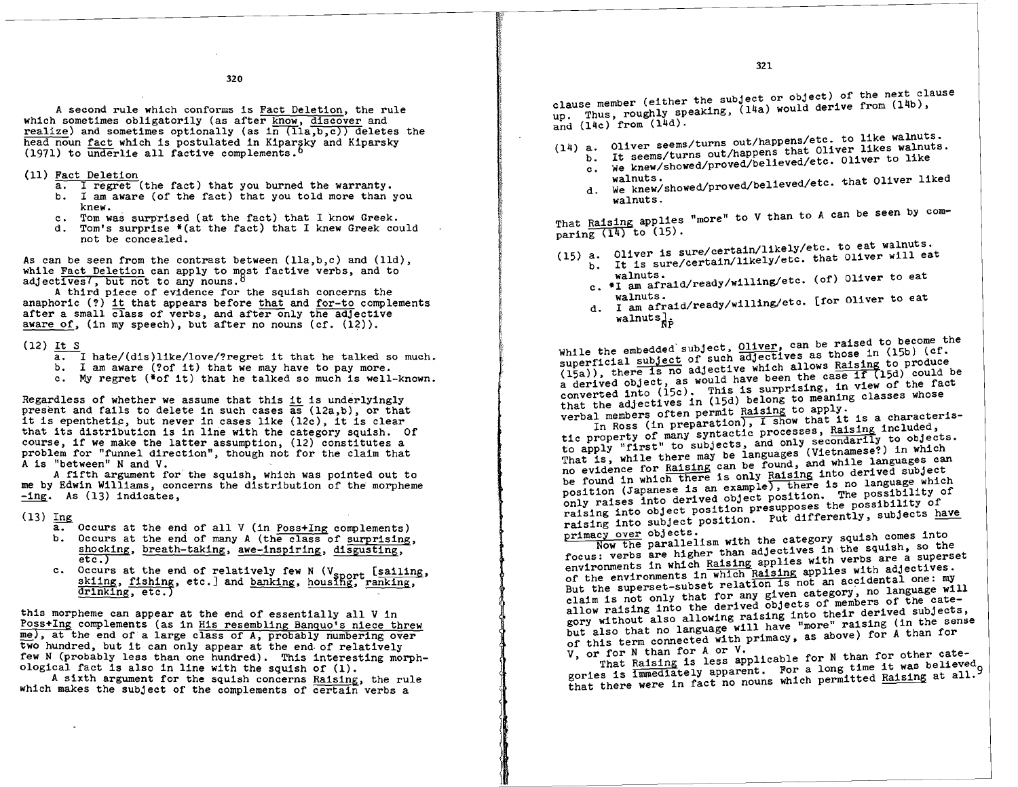A second rule which conforms is Fact Deletion, the rule which sometimes obligatorily (as after know, discover and realize) and sometimes optionally (as  $\ln$  (lla,b,c)) deletes the head noun fact which is postulated in Kipargky and Kiparsky (1971) to underlie all factive complements.<sup>6</sup>

- 
- (11)  $Fact Deletion a. I recrete (the fact) that you burned the warranty.$ </u>
	- b. I am aware (of the fact) that you told more than you knew.
	- c. Tom was surprised (at the fact) that I know Greek.
	- d. Tom's surprise  $*(at the fact) that I knew Greek could$ not be concealed.

As can be seen from the contrast between  $(lla, b, c)$  and  $(lld)$ , while Fact Deletion can apply to most factive verbs, and to adjectives', but not to any nouns.

A third piece of evidence for the squish concerns the anaphoric (?) it that appears before that and for-to complements after a small class of verbs, and after only the adjective aware of, (in my speech), but after no nouns (cf. (12)).

- $(12)$  It S
	- $a.$  I hate/(dis)like/love/?regret it that he talked so much.<br>b. I am aware (?of it) that we may have to pay more.
	-
	- c. My regret (\*of it) that he talked so much is well-known.

Regardless of whether we assume that this it is underlyingly present and fails to delete in such cases as (12a,b), or that it is epenthetic, but never in cases like  $(12c)$ , it is clear that its distribution is in line with the category squish. Of course, if we make the latter assumption, (12) constitutes a problem for "funnel direction", though not for the claim that A is "between" N and V.

A fifth argument for the squish, which was pointed out to me by Edwin Williams, concerns the distribution of the morpheme -ing. As (13) indicates,

 $(13)$  Ing

- a. Occurs at the end of all V (in Poss+Ing complements) b. Occurs at the end of many A (the class of surprising, shocking, breath-taking, awe-inspiring, disgusting,  $etc.$ )
- c. Occurs at the end of relatively few N (Vsport [sailing, skiing, fishing, etc.] and banking, housing, ranking, drinking, etc.)

this morpheme can appear at the end of essentially all V in Poss+Ing complements (as in His resembling Banquo's niece threw<br>me), at the end of a large class of A, probably numbering over two hundred, but it can only appear at the end of relatively few N (probably less than one hundred). This interesting morphological fact is also in line with the squish of (1).

A sixth argument for the squish concerns Raising, the rule which makes the subject of the complements of certain verbs a

clause member (either the subject or object) of the next clause up. Thus, roughly speaking, (14a) would derive from (14b), and  $(14c)$  from  $(14d)$ .

(14) a. Oliver seems/turns out/happens/etc. to like walnuts.

- b. It seems/turns out/happens that Oliver likes walnuts.<br>c. We knew/showed/proved/believed/etc. Oliver to like
- walnuts. d. We knew/showed/proved/believed/etc. that Oliver liked walnuts.

That Raising applies "more" to V than to A can be seen by com-<br>paring  $(14)$  to  $(15)$ . paring  $(14)$  to  $(15)$ .

- (15) a. Oliver is sure/certain/likely/etc. to eat walnuts. a. Oliver is sure/certain/likely/etc. to eat walhuts.<br>b. It is sure/certain/likely/etc. that Oliver will eat
	- - walnuts.<br>c. #I am afraid/ready/willing/etc. (of) Oliver to eat
		- walnuts.<br>d. I am afraid/ready/willing/etc. [for Oliver to eat  $walmuts_{\nRp}$

While the embedded subject,  $0$ liver, can be raised to become the superficial subject of such adjectives as those in (15b) (cf. (15a)), there is no adjective which allows Raising to produce<br>a derived object, as would have been the case if (15d) could be converted into (15c). This is surprising, in view of the fact that the adjectives in (15d) belong to meaning classes whose<br>verbal members often permit Raising to apply.

In Ross (in preparation), I show that it is a characteristic property of many syntactic processes, Raising included, to apply "first" to subjects, and only secondarily to objects.<br>That is, while there may be languages (Vietnamese?) in which no evidence for Raising can be found, and while languages can be found in which there is only Raising into derived subject position (Japanese is an example), there is no language which only raises into derived object position. The possibility of raising into object position presupposes the possibility of raising into subject position. Put differently, subjects have

primacy over objects.<br>Now the parallelism with the category squish comes into focus: verbs are higher than adjectives in the squish, so the environments in which Raising applies with verbs are a superset of the environments in which Raising applies with adjectives.<br>But the superset-subset relation is not an accidental one: my claim is not only that for any given category, no language will allow raising into the derived objects of members of the category without also allowing raising into their derived subjects, but also that no language will have "more" raising (in the sense of this term connected with primacy, as above) for A than for

V, or for N than for A or V.<br>That Raising is less applicable for N than for other cate-V, or for N than 10r A of V.<br>
That Raising is less applicable for N than for other cate-<br>
gories is immediately apparent. For a long time it was believed<br>
that there were in fact no nouns which permitted Raising at all. gories is immediately apparent. For a long time it was believed<sub>o</sub>

1. 1 1 j I

### 320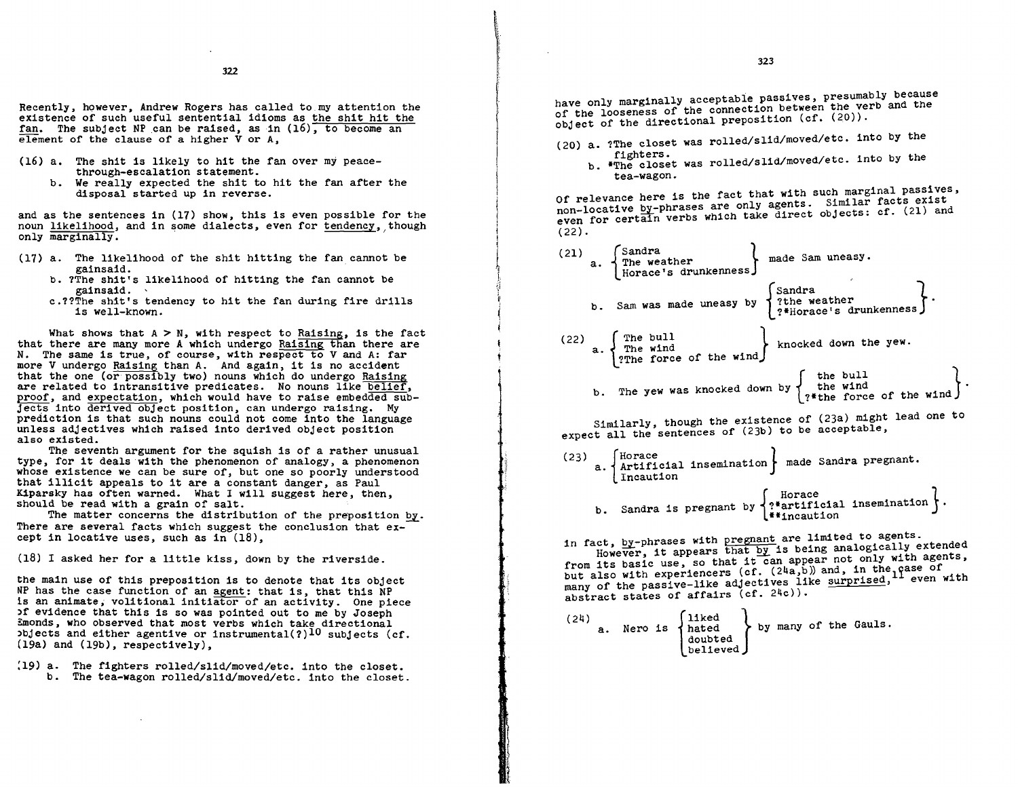322

existence of such useful sentential idioms as the shit hit the fan. The subject NP can be raised, as in  $(16)$ , to become an element of the clause of a higher V or A.

- (16) a. The shit is likely to hit the fan over my peacethrough-escalation statement.
	- b. We really expected the shit to hit the fan after the disposal started up in reverse.

and as the sentences in  $(17)$  show, this is even possible for the noun likelihood, and in some dialects, even for tendency, though

- (17) a. The likelihood of the shit hitting the fan cannot be gainsaid.
	- b. ?The shit's likelihood of hitting the fan cannot be gainsaid.
	-

What shows that  $A > N$ , with respect to Raising, is the fact that there are many more A which undergo Raising than there are N. The same is true, of course, with respect to V and A: far more V undergo Raising than A. And again, it is no accident that the one (or possibly two) nouns which do undergo Raising are related to intransitive predicates. No nouns like belief. proof. and expectation. which would have to raise embedded subjects into derived object position. can undergo raising. My prediction is that such nouns could not come into the language unless adjectives which raised into derived object position also existed.

The seventh argument for the squish is of a rather unusual type. for it deals with the phenomenon of analogy. a phenomenon whose existence we can be sure of. but one so poorly understood that illicit appeals to it are a constant danger. as Paul Kiparsky has often warned. What I will suggest here. then. should be read with a grain of salt.

The matter concerns the distribution of the preposition by. There are several facts which suggest the conclusion that ex-cept in locative uses, such as in  $(18)$ .

(18) I asked her for a little kiss. down by the riverside.

the main use of this preposition is to denote that its object NP has the case function of an agent: that is, that this NP is an animate, volitional initiator of an activity. One piece )f evidence that this is so was pointed out to me by Joseph Emonds, who observed that most verbs which take directional bjects and either agentive or instrumental(?)<sup>10</sup> subjects (cf. (19a) and (19b). respectively).

:19) a. The fighters rolled/slid/moved/etc. into the closet. b. The tea-wagon rolled/slid/moved/etc. into the closet.

have only marginally acceptable passives, presumably because Recently, however, Andrew Rogers has called to my attention the bave only marginally acceptable passives, presumative series and the extra series and the extra series of the looseness of the connection between the verb and object of the directional preposition  $(cf. (20))$ .

i , ':, .....• r

film and the context of  $\left\{ \begin{array}{c} 1 \end{array} \right.$ 

r !  $\vert$ 

1 j I the company of the company of the company of the company of the company of the company of the company of the c<br>The company of the company of the company of the company of the company of the company of the company of the c<br>

- (20) a. ?The closet was rolled/slid/moved/etc. into by the fighters.
	- b. \*The closet was rolled/slid/moved/etc. into by the tea-wagon.

Of relevance here is the fact that with such marginal passives,<br>non-locative by-phrases are only agents. Similar facts exist and as the sentences in (17) show, this is even possible for the<br>noun <u>likelihood</u>, and in some dialects, even for <u>tendency</u>, though even for certain verbs which take direct objects: cf. (21) and<br>only marginally. . . . .

| a. The likelihood of the shit hitting the fan cannot be<br>gainsaid.                                                                                                                                                                               | Sandra<br>(21)<br>made Sam uneasy.<br>'The weather<br>а.<br>'Horace's drunkennessj                |
|----------------------------------------------------------------------------------------------------------------------------------------------------------------------------------------------------------------------------------------------------|---------------------------------------------------------------------------------------------------|
| b. ?The shit's likelihood of hitting the fan cannot be<br>gainsaid.<br>c.??The shit's tendency to hit the fan during fire drills<br>is well-known.                                                                                                 | Sandra<br>'?the weather<br>b. Sam was made uneasy by<br>?*Horace's drunkenness )                  |
| What shows that $A > N$ , with respect to Raising, is the fact<br>there are many more A which undergo Raising than there are<br>he same is true, of course, with respect to V and A: far<br>V undergo Raising than A. And again, it is no accident | The bull<br>(22)<br>knocked down the yew.<br>The wind<br>а.<br>'?The force of the wind )          |
| the one (or possibly two) nouns which do undergo Raising<br>elated to intransitive predicates. No nouns like belief,<br>, and expectation, which would have to raise embedded sub-                                                                 | the bull<br>the wind<br>b. The yew was knocked down by $\vec{\tau}$<br>'?*the force of the wind ) |

Similarly, though the existence of (23a) might lead one to expect all the sentences of (23b) to be acceptable,

(23)  $\left\{\n \begin{array}{c}\n \text{Horace} \\
 \text{arbiticial} \\
 \text{insertation}\n \end{array}\n \right\}\n \text{ made Sandra preparation.}$ Incaution b. Sandra is pregnant by  $\left\{\begin{array}{l}\text{Horace}\\\text{2*artificial insertion}\end{array}\right\}$ 

in fact, by-phrases with pregnant are limited to agents.<br>However, it appears that by is being analogically extended from its basic use, so that it can appear not only with agents, but also with experiencers (cf. (24a,b)) and, in the case of many of the passive-like adjectives like surprised, <sup>11</sup> even with abstract states of affairs  $(cf. 24c)$ .

|  |  |  |  | were is $\left\{\n \begin{array}{c}\n \text{1100} \\  \text{hated} \\  \text{double} \\  \text{believed}\n \end{array}\n \right\}$ by many of the Gaule |  |  |  |  |  |
|--|--|--|--|---------------------------------------------------------------------------------------------------------------------------------------------------------|--|--|--|--|--|
|--|--|--|--|---------------------------------------------------------------------------------------------------------------------------------------------------------|--|--|--|--|--|

 $\overline{\phantom{a}}$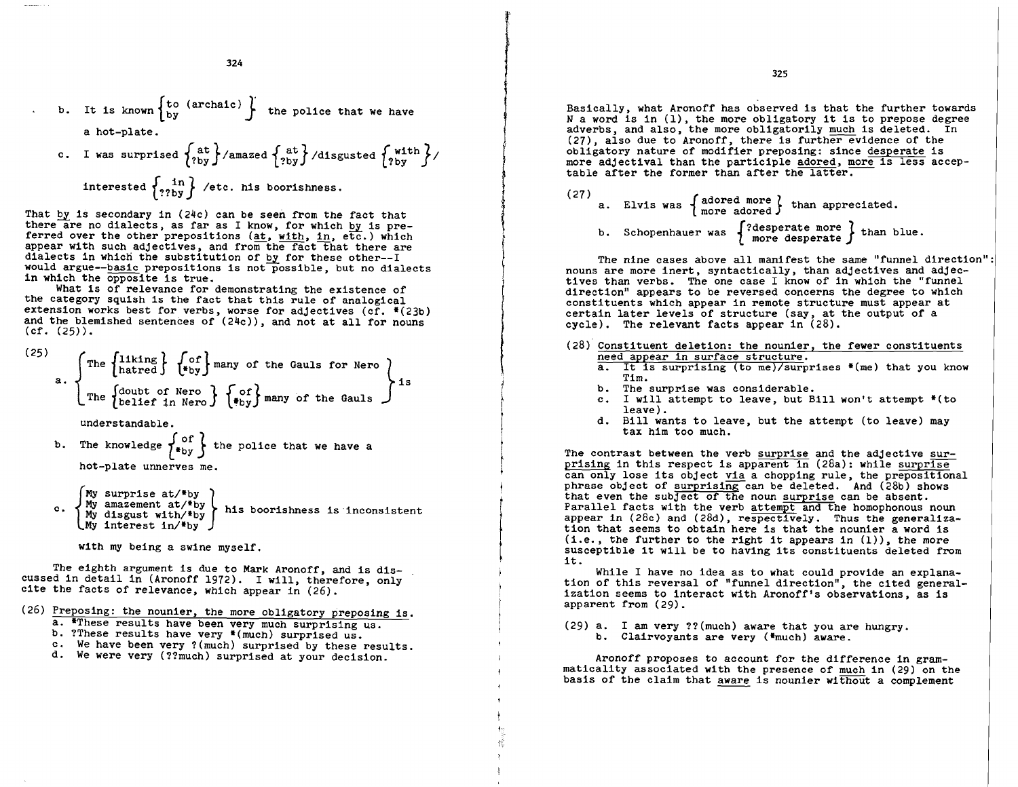\n- b. It is known 
$$
\begin{Bmatrix} \text{to (archatic)} \\ \text{by} \end{Bmatrix}
$$
 the police that we have a hot-plate.
\n- c. I was surprised  $\begin{Bmatrix} \text{at} \\ \text{?by} \end{Bmatrix}$  /amazed  $\begin{Bmatrix} \text{at} \\ \text{?by} \end{Bmatrix}$  /dissussed  $\begin{Bmatrix} \text{with} \\ \text{?by} \end{Bmatrix}$  /interested  $\begin{Bmatrix} \text{in} \\ \text{?by} \end{Bmatrix}$  / etc. his boorishness.
\n

324

That by is secondary in (24c) can be seen from the fact that there are no dialects, as far as I know, for which by is pre-<br>ferred over the other prepositions (at, with, in, etc.) which appear with such adjectives, and from the fact that there are dialects in which the substitution of by for these other--I would argue--basic prepositions is not possible, but no dialects in which the opposite is true.

What is of relevance for demonstrating the existence of the category squish is the fact that this rule of analogical extension works best for verbs, worse for adjectives (cf.  $*(23b)$ ) and the blemished sentences of  $(24c)$ , and not at all for nouns  $(cf. (25))$ .

(25) The 
$$
\begin{Bmatrix} \text{The } \{11\text{king} \} & \{00\} \\ \text{hated } \{00\} & \{00\} \end{Bmatrix}
$$
 many of the Gauls for Nero  $\}$  is  $\begin{Bmatrix} \text{The } \{10\text{kof} \} \\ \text{The } \{10\} \\ \text{Beltef in Nero} \end{Bmatrix}$ 

understandable.

understandable.

\nb. The knowledge 
$$
\begin{cases} \text{of} \\ \text{*by} \end{cases}
$$
 the police that we have a hot-plate unnerves me.

My surprise  $at/*by$ Ny surprise at/\*by<br>
c. My amazement at/\*by<br>
My disgust with/\*by<br>
his boorishness is inconsistent My interest in/\*by

with my being a swine myself.

The eighth argument is due to Mark Aronoff, and is discussed in detail in (Aronoff 1972). I Will, therefore, only cite the facts of relevance, which appear in (26).

- (26) Preposing: the nounier, the more obligatory preposing is.<br>a. \*These results have been very much surprising us.
	-
	-
	- b. ?These results have very  $*($ much) surprised us.<br>c. We have been very ?(much) surprised by these results.
	- d. We were very (??much) surprised at your decision.

Basically, what Aronoff has observed is that the further towards N a word is in (1), the more obligatory it is to prepose degree adverbs, and also, the more obligatorily much is deleted. In (27), also due to Aronoff, there is further evidence of the obligatory nature of modifier preposing: since desperate is more adjectival than the participle adored, more is less accep-<br>table after the former than after the latter.

(27) a. Elvis was  $\left\{\begin{array}{ll}\n\text{adored more} \\
\text{more adopted}\n\end{array}\right\}$  than appreciated.

b. Schopenhauer was {?desperate more} than blue.<br>
The nine cases above all manifest the same "funnel d<br>
nouns are more inert, syntactically, than adjectives and<br>
tives than verbs. The one case I know of in which the "f<br>
di The nine cases above all manifest the same "funnel direction":<br>nouns are more inert, syntactically, than adjectives and adjec-<br>tives than verbs. The one case I know of in which the "funnel direction" appears to be reversed concerns the degree to Which constituents which appear in remote structure must appear at certain later levels of structure (say, at the output of a cycle). The relevant facts appear in (28).

- $(28)$  Constituent deletion: the nounier, the fewer constituents need appear in surface structure.
	- a. It is surprising (to me)/surprises \*(me) that you know Tim.<br>b. The surprise was considerable.
	-

I

- c. I will attempt to leave, but Bill won't attempt  $*(to$ leave).
- d. Bill wants to leave, but the attempt (to leave) may tax him too much.

The contrast between the verb surprise and the adjective sur-<br>prising in this respect is apparent in (28a): while surprise<br>can only lose its object via a chopping rule, the prepositional<br>phrase object of surprising can be that even the subject of the noun surprise can be absent.<br>Parallel facts with the verb attempt and the homophonous noun appear in (28c) and (28d), respectively. Thus the generalization that seems to obtain here is that the nounier a word is  $(i.e., the further to the right it appears in (1)), the more$ susceptible it will be to having its constituents deleted from it.

While I have no idea as to what could provide an explana-<br>tion of this reversal of "funnel direction", the cited generalization seems to interact with Aronoff's observations, as is apparent from (29).

(29) a. I am very ??(much) aware that you are hungry.<br>b. Clairvoyants are very (\*much) aware.

Aronoff proposes to account for the difference in gram-<br>maticality associated with the presence of much in (29) on the basis of the claim that aware is nounier without a complement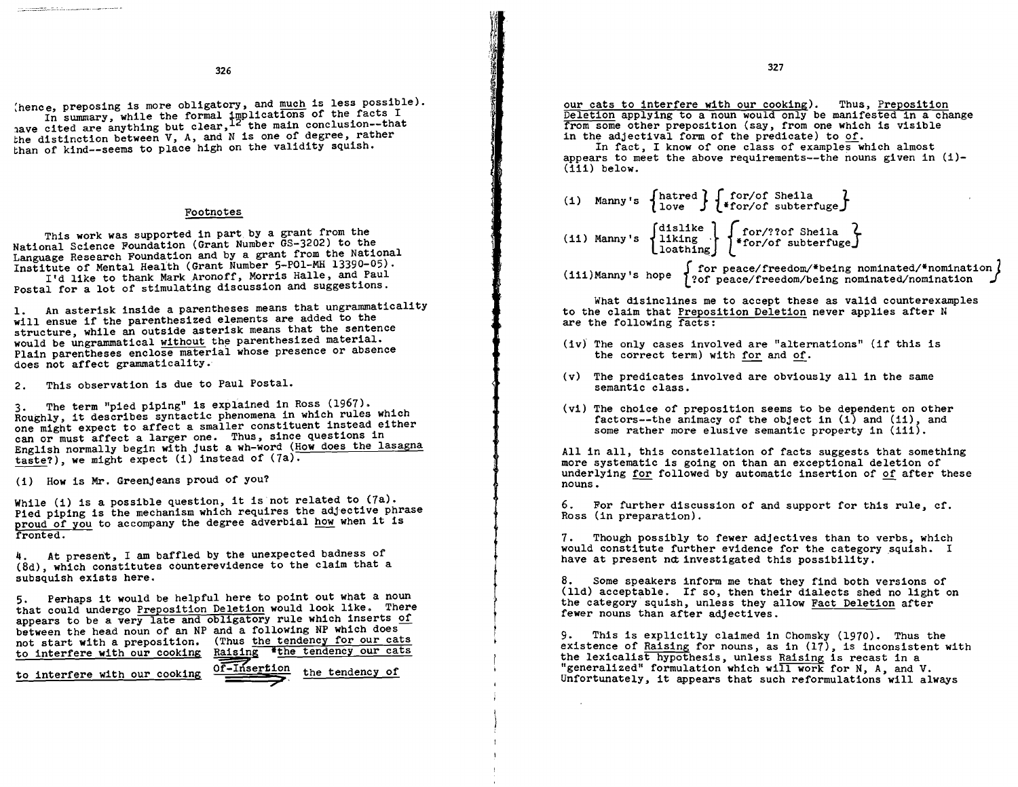:hence, preposing is more obligatory, and much is less possible). In summary, while the formal implications of the facts I

have cited are anything but clear,  $12$  the main conclusion--that the distinction between V, A, and N is one of degree, rather than of kind--seems to place high on the validity squish.

#### Footnotes

This work was supported in part by a grant from the National Science Foundation (Grant Number GS-3202) to the Language Research Foundation and by a grant from the National Institute of Mental Health (Grant Number 5-POI-MH 13390-05). I'd like to thank Mark Aronoff, Morris Halle, and Paul

Postal for a lot of stimulating discussion and suggestions.

1. An asterisk inside a parentheses means that ungrammaticality will ensue if the parenthesized elements are added to the structure, while an outside asterisk means that the sentence would be ungrammatical without the parenthesized material. Plain parentheses enclose material whose presence or absence does not affect grammaticality.

2. This observation is due to Paul Postal.

3. The term "pied piping" is explained in Ross (1967). one might expect to affect a smaller constituent instead either can or must affect a larger one. Thus, since questions in English normally begin with just a wh-word (How does the lasagna taste?), we might expect (i) instead of  $(7a)$ .

(i) How is Mr. Greenjeans proud of you?

While (i) is a possible question, it is not related to (7a). Pied piping is the mechanism which requires the adjective phrase Pied piping is the mechanism which requires the aujective philography of you to accompany the degree adverbial how when it is proud of you to accompany the degree advertised.<br>fronted.

At present, I am baffled by the unexpected badness of (8d), which constitutes counterevidence to the claim that a subsquish exists here.

5. Perhaps it would be helpful here to point out what a noun that could undergo Preposition Deletion would look like. There appears to be a very late and obligatory rule which inserts of between the head noun of an NP and a following NP which does not start with a preposition. (Thus the tendency for our cats to interfere with our cooking Raising 'the tendency our cats

to interfere with our cooking  $0$ . This ertion the tendency of

327

our cats to interfere with our cooking). Thus, Preposition Deletion applying to a noun would only be manifested in a change from some other preposition (say, from one which is visible in the adjectival form of the predicate) to of.

In fact, I know of one class of examples which almost appears to meet the above requirements--the nouns given in (i)  $(111)$  below.

- (i) Manny's  $\left\{\begin{matrix} \text{for/of Sheila} \\ \text{love} \end{matrix}\right\}$   $\left\{\begin{matrix} \text{for/of Sheila} \\ \text{for/of subtertuge} \end{matrix}\right\}$ (11) Manny's  $\begin{cases} \text{dislike} \\ \text{liking} \\ \text{loaching} \end{cases}$   $\begin{cases} \text{for/} ? \text{of Sheila} \\ \text{for/} \text{of subtertuge} \end{cases}$
- (iii)Manny's hope  $\left\{ \begin{array}{ll} \text{for peace/freedom/$being nominated/$nomination} \\ \text{?of peace/freedom/being nominated/nomination} \end{array} \right\}$

What disinclines me to accept these as valid counterexamples to the claim that <u>Preposition Deletion</u> never applies after N are the following facts:

- $(iv)$  The only cases involved are "alternations" (if this is the correct term) with for and of. Ī
- (v) The predicates involved are obviously all in the same semantic class. ٦
- (vi) The choice of preposition seems to be dependent on other factors--the animacy of the object in (i) and (ii), and some rather more elusive semantic property in (iii).

All in all, this constellation of facts suggests that something more systematic is going on than an exceptional deletion of underlying <u>for</u> followed by automatic insertion of of after these nouns.

6. For further discussion of and support for this rule, cf. Ross (in preparation).

Though possibly to fewer adjectives than to verbs, which would constitute further evidence for the category squish. I have at present not investigated this possibility.

Some speakers inform me that they find both versions of (lId) acceptable. If so, then their dialects shed no light on the category squish, unless they allow Fact Deletion after fewer nouns than after adjectives.

9. This is explicitly claimed in Chomsky (1970). Thus the existence of Raising for nouns, as in  $(17)$ , is inconsistent with the lexicalist hypothesis, unless Raising is recast in a "generalized" formulation which will work for N, A, and V. Unfortunately, it appears that such reformulations will always